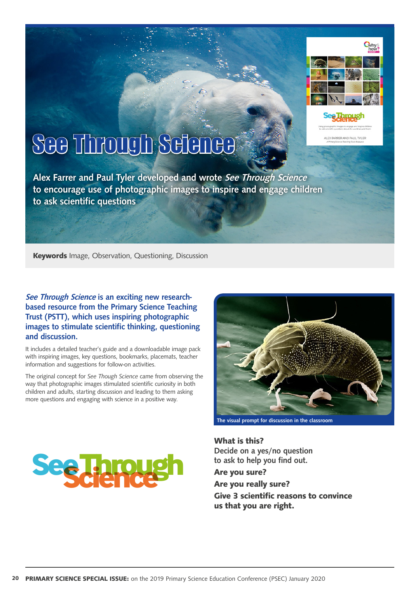

Using photographic images to engage and loss ALEX FARRER AND PAUL TYLER

# See Through Science

Alex Farrer and Paul Tyler developed and wrote See Through Science to encourage use of photographic images to inspire and engage children to ask scientific questions

**Keywords** Image, Observation, Questioning, Discussion

#### See Through Science is an exciting new researchbased resource from the Primary Science Teaching Trust (PSTT), which uses inspiring photographic images to stimulate scientific thinking, questioning and discussion.

It includes a detailed teacher's guide and a downloadable image pack with inspiring images, key questions, bookmarks, placemats, teacher information and suggestions for follow-on activities.

The original concept for *See Though Science* came from observing the way that photographic images stimulated scientific curiosity in both children and adults, starting discussion and leading to them asking more questions and engaging with science in a positive way.



**What is this?**  Decide on a yes/no question to ask to help you find out.

**Are you sure? Are you really sure? Give 3 scientific reasons to convince us that you are right.**

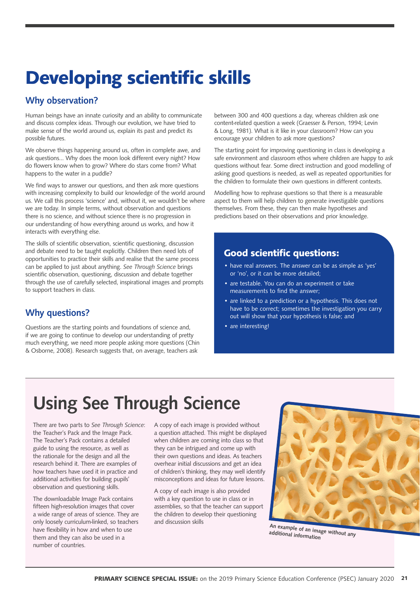# **Developing scientific skills**

### Why observation?

Human beings have an innate curiosity and an ability to communicate and discuss complex ideas. Through our evolution, we have tried to make sense of the world around us, explain its past and predict its possible futures.

We observe things happening around us, often in complete awe, and ask questions... Why does the moon look different every night? How do flowers know when to grow? Where do stars come from? What happens to the water in a puddle?

We find ways to answer our questions, and then ask more questions with increasing complexity to build our knowledge of the world around us. We call this process 'science' and, without it, we wouldn't be where we are today. In simple terms, without observation and questions there is no science, and without science there is no progression in our understanding of how everything around us works, and how it interacts with everything else.

The skills of scientific observation, scientific questioning, discussion and debate need to be taught explicitly. Children then need lots of opportunities to practice their skills and realise that the same process can be applied to just about anything. *See Through Science* brings scientific observation, questioning, discussion and debate together through the use of carefully selected, inspirational images and prompts to support teachers in class.

## Why questions?

Questions are the starting points and foundations of science and, if we are going to continue to develop our understanding of pretty much everything, we need more people asking more questions (Chin & Osborne, 2008). Research suggests that, on average, teachers ask

between 300 and 400 questions a day, whereas children ask one content-related question a week (Graesser & Person, 1994; Levin & Long, 1981). What is it like in your classroom? How can you encourage your children to ask more questions?

The starting point for improving questioning in class is developing a safe environment and classroom ethos where children are happy to ask questions without fear. Some direct instruction and good modelling of asking good questions is needed, as well as repeated opportunities for the children to formulate their own questions in different contexts.

Modelling how to rephrase questions so that there is a measurable aspect to them will help children to generate investigable questions themselves. From these, they can then make hypotheses and predictions based on their observations and prior knowledge.

## **Good scientific questions:**

- have real answers. The answer can be as simple as 'yes' or 'no', or it can be more detailed;
- are testable. You can do an experiment or take measurements to find the answer;
- are linked to a prediction or a hypothesis. This does not have to be correct; sometimes the investigation you carry out will show that your hypothesis is false; and
- are interesting!

# Using See Through Science

There are two parts to *See Through Science*: the Teacher's Pack and the Image Pack. The Teacher's Pack contains a detailed guide to using the resource, as well as the rationale for the design and all the research behind it. There are examples of how teachers have used it in practice and additional activities for building pupils' observation and questioning skills.

The downloadable Image Pack contains fifteen high-resolution images that cover a wide range of areas of science. They are only loosely curriculum-linked, so teachers have flexibility in how and when to use them and they can also be used in a number of countries.

A copy of each image is provided without a question attached. This might be displayed when children are coming into class so that they can be intrigued and come up with their own questions and ideas. As teachers overhear initial discussions and get an idea of children's thinking, they may well identify misconceptions and ideas for future lessons.

A copy of each image is also provided with a key question to use in class or in assemblies, so that the teacher can support the children to develop their questioning and discussion skills



An example of an image without any additional information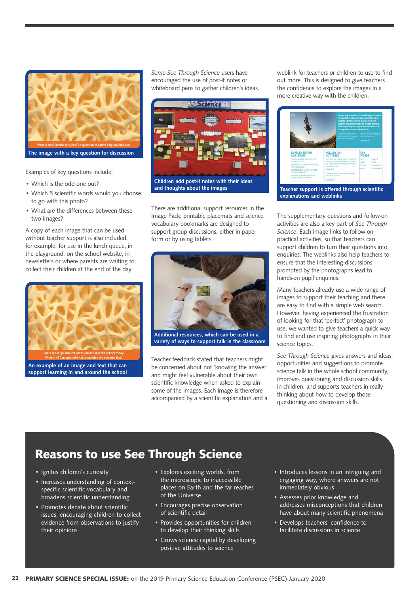

Examples of key questions include:

- Which is the odd one out?
- Which 5 scientific words would you choose to go with this photo?
- What are the differences between these two images?

A copy of each image that can be used without teacher support is also included, for example, for use in the lunch queue, in the playground, on the school website, in newsletters or where parents are waiting to collect their children at the end of the day.



An example of an image and text that can support learning in and around the school *Some See Through Science* users have encouraged the use of post-it notes or whiteboard pens to gather children's ideas.



and thoughts about the images

There are additional support resources in the Image Pack: printable placemats and science vocabulary bookmarks are designed to support group discussions, either in paper form or by using tablets.



Additional resources, which can be used in a variety of ways to support talk in the classroom

Teacher feedback stated that teachers might be concerned about not 'knowing the answer' and might feel vulnerable about their own scientific knowledge when asked to explain some of the images. Each image is therefore accompanied by a scientific explanation and a

weblink for teachers or children to use to find out more. This is designed to give teachers the confidence to explore the images in a more creative way with the children.



Teacher support is offered through scientific explanations and weblinks

The supplementary questions and follow-on activities are also a key part of *See Through Science*. Each image links to follow-on practical activities, so that teachers can support children to turn their questions into enquiries. The weblinks also help teachers to ensure that the interesting discussions prompted by the photographs lead to hands-on pupil enquiries.

Many teachers already use a wide range of images to support their teaching and these are easy to find with a simple web search. However, having experienced the frustration of looking for that 'perfect' photograph to use, we wanted to give teachers a quick way to find and use inspiring photographs in their science topics.

*See Through Science* gives answers and ideas, opportunities and suggestions to promote science talk in the whole school community, improves questioning and discussion skills in children, and supports teachers in really thinking about how to develop those questioning and discussion skills.

## **Reasons to use See Through Science**

- Ignites children's curiosity
- Increases understanding of contextspecific scientific vocabulary and broadens scientific understanding
- Promotes debate about scientific issues, encouraging children to collect evidence from observations to justify their opinions
- Explores exciting worlds, from the microscopic to inaccessible places on Earth and the far reaches of the Universe
- Encourages precise observation of scientific detail
- Provides opportunities for children to develop their thinking skills
- Grows science capital by developing positive attitudes to science
- Introduces lessons in an intriguing and engaging way, where answers are not immediately obvious
- Assesses prior knowledge and addresses misconceptions that children have about many scientific phenomena
- Develops teachers' confidence to facilitate discussions in science